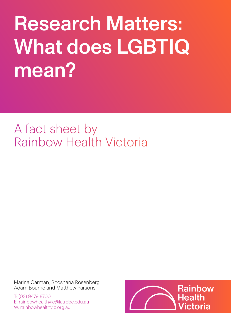# Research Matters: What does LGBTIQ mean?

# A fact sheet by Rainbow Health Victoria

Marina Carman, Shoshana Rosenberg, Adam Bourne and Matthew Parsons

T: (03) 9479 8700 E: rainbowhealthvic@latrobe.edu.au W: rainbowhealthvic.org.au

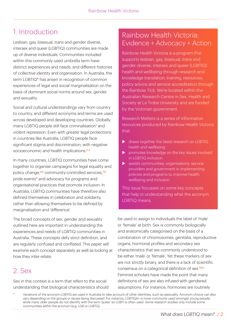# 1. Introduction

Lesbian, gay, bisexual, trans and gender diverse, intersex and queer (LGBTIQ) communities are made up of diverse individuals. Communities included within this commonly-used umbrella term have distinct experiences and needs, and different histories of collective identity and organisation. In Australia, the term LGBTIQ**\*** has arisen in recognition of common experiences of legal and social marginalisation on the basis of dominant social norms around sex, gender and sexuality.

Social and cultural understandings vary from country to country, and different acronyms and terms are used across developed and developing countries. Globally, many LGBTIQ people still face criminalisation<sup>1</sup> and violent repression. Even with greater legal protections in countries like Australia, LGBTIQ people face significant stigma and discrimination, with negative socioeconomic and health implications.<sup>2-4</sup>

In many countries, LGBTIQ communities have come together to organise campaigns for legal equality and policy change,<sup>5,6</sup> community-controlled services,<sup>7,8</sup> pride events<sup>9</sup> and advocacy for programs and organisational practices that promote inclusion. In Australia, LGBTIQ communities have therefore also defined themselves in celebration and solidarity, rather than allowing themselves to be defined by marginalisation and 'difference'.

The broad concepts of sex, gender and sexuality outlined here are important in understanding the experiences and needs of LGBTIQ communities in Australia. These concepts defy strict definition, and are regularly confused and conflated. This paper will examine each concept separately as well as looking at how they inter-relate.

## 2. Sex

Sex in this context is a term that refers to the social understanding that biological characteristics should

#### Rainbow Health Victoria: Evidence + Advocacy + Action

Rainbow Health Victoria is a program that supports lesbian, gay, bisexual, trans and gender diverse, intersex and queer (LGBTIQ) health and wellbeing through research and knowledge translation, training, resources, policy advice and service accreditation through the Rainbow Tick. We're located within the Australian Research Centre in Sex, Health and Society at La Trobe University and are funded by the Victorian government.

Research Matters is a series of information resources produced by Rainbow Health Victoria that:

- $\triangleright$  draws together the latest research on LGBTIQ health and wellbeing
- $\triangleright$  promotes knowledge on the key issues involved in LGBTIQ inclusion
- $\blacktriangleright$  assists communities, organisations, service providers and government in implementing policies and programs to improve health, wellbeing and inclusion

This issue focusses on some key concepts that help in understanding what the acronym LGBTIQ means.

be used to assign to individuals the label of 'male' or 'female' at birth. Sex is commonly biologically and anatomically categorised on the basis of a combination of chromosomes, genitalia, reproductive organs, hormonal profiles and secondary sex characteristics that are commonly understood to be either 'male' or 'female'. Yet these markers of sex are not strictly binary, and there is a lack of scientific consensus on a categorical definition of sex.<sup>10,11</sup> Feminist scholars have made the point that many definitions of sex are also infused with gendered assumptions. For instance, hormones are routinely

**<sup>\*</sup>** Variations of the acronym LGBTIQ are used in Australia to take account of other identities, such as asexuality. Acronym choice can also vary depending on the groups or issues being discussed. For instance, LGBTIQA+ is more commonly used amongst young people, while many older people do not identify with the term 'queer' so LGBTI is often used. Some research studies only include some communities within the acronym (e.g. LGB or LGBTQ).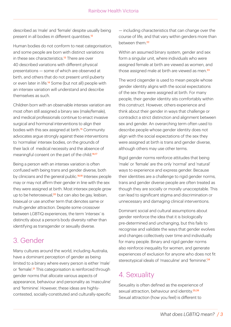described as 'male' and 'female' despite usually being present in all bodies in different quantities.<sup>12</sup>

Human bodies do not conform to neat categorisation, and some people are born with distinct variations in these sex characteristics.<sup>13</sup> There are over 40 described variations with different physical presentations — some of which are observed at birth, and others that do not present until puberty or even later in life.14 Some (but not all) people with an intersex variation will understand and describe themselves as such.

Children born with an observable intersex variation are most often still assigned a binary sex (male/female), and medical professionals continue to enact invasive surgical and hormonal interventions to align their bodies with this sex assigned at birth.<sup>15</sup> Community advocates argue strongly against these interventions to 'normalise' intersex bodies, on the grounds of their lack of medical necessity and the absence of meaningful consent on the part of the child.<sup>16,17</sup>

Being a person with an intersex variation is often confused with being trans and gender diverse, both by clinicians and the general public.<sup>18,19</sup> Intersex people may or may not affirm their gender in line with the sex they were assigned at birth. Most intersex people grow up to be heterosexual,<sup>20</sup> but can also be gay, lesbian, bisexual or use another term that denotes same or multi-gender attraction. Despite some crossover between LGBTIQ experiences, the term 'intersex' is distinctly about a person's body diversity rather than identifying as transgender or sexually diverse.

#### 3. Gender

Many cultures around the world, including Australia, have a dominant perception of gender as being limited to a binary where every person is either 'male' or 'female'.<sup>21</sup> This categorisation is reinforced through gender norms that allocate various aspects of appearance, behaviour and personality as 'masculine' and 'feminine'. However, these ideas are highlycontested, socially-constituted and culturally-specific

— including characteristics that can change over the course of life, and that vary within genders more than between them<sup>22</sup>

Within an assumed binary system, gender and sex form a singular unit, where individuals who were assigned female at birth are viewed as women, and those assigned male at birth are viewed as men.<sup>23</sup>

The word cisgender is used to mean people whose gender identity aligns with the social expectations of the sex they were assigned at birth. For many people, their gender identity sits comfortably within this construct. However, others experience and think about their gender in ways that challenge or contradict a strict distinction and alignment between sex and gender. An overarching term often used to describe people whose gender identity does not align with the social expectations of the sex they were assigned at birth is trans and gender diverse, although others may use other terms.

Rigid gender norms reinforce attitudes that being 'male' or 'female' are the only 'normal' and 'natural' ways to experience and express gender. Because their identities are a challenge to rigid gender norms, trans and gender diverse people are often treated as though they are socially or morally unacceptable. This can lead to significant stigma and discrimination or unnecessary and damaging clinical interventions.

Dominant social and cultural assumptions about gender reinforce the idea that it is biologically pre-determined and unchanging, but this fails to recognise and validate the ways that gender evolves and changes collectively over time and individually for many people. Binary and rigid gender norms also reinforce inequality for women, and generate experiences of exclusion for anyone who does not fit stereotypical ideals of 'masculine' and 'feminine'.<sup>24</sup>

# 4. Sexuality

Sexuality is often defined as the experience of sexual attraction, behaviour and identity.<sup>25,26</sup> Sexual attraction (how you feel) is different to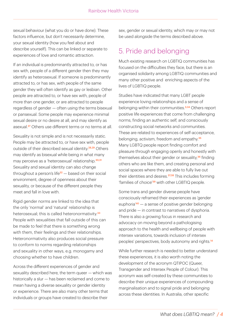sexual behaviour (what you do or have done). These factors influence, but don't necessarily determine, your sexual identity (how you feel about and describe yourself). This can be linked or separate to experiences of love and romantic attraction.

If an individual is predominantly attracted to, or has sex with, people of a different gender then they may identify as heterosexual. If someone is predominantly attracted to, or has sex, with people of the same gender they will often identify as gay or lesbian. Other people are attracted to, or have sex with, people of more than one gender, or are attracted to people regardless of gender — often using the terms bisexual or pansexual. Some people may experience minimal sexual desire or no desire at all, and may identify as asexual.27 Others use different terms or no terms at all.

Sexuality is not simple and is not necessarily static. People may be attracted to, or have sex with, people outside of their described sexual identity.<sup>28,29</sup> Others may identify as bisexual while being in what many may perceive as a 'heterosexual' relationship.<sup>30,31</sup> Sexuality and sexual identity can also change throughout a person's life<sup>32</sup>  $-$  based on their social environment, degree of openness about their sexuality, or because of the different people they meet and fall in love with.

Rigid gender norms are linked to the idea that the only 'normal' and 'natural' relationship is heterosexual; this is called heteronormativity.<sup>33</sup> People with sexualities that fall outside of this can be made to feel that there is something wrong with them, their feelings and their relationships. Heteronormativity also produces social pressure to conform to norms regarding relationships and sexuality in other ways, e.g. monogamy and choosing whether to have children.

Across the different experiences of gender and sexuality described here, the term queer — which was historically a slur — has been reclaimed and come to mean having a diverse sexuality or gender identity or experience. There are also many other terms that individuals or groups have created to describe their

sex, gender or sexual identity, which may or may not be used alongside the terms described above.

### 5. Pride and belonging

Much existing research on LGBTIQ communities has focused on the difficulties they face, but there is an organised solidarity among LGBTIQ communities and many other positive and enriching aspects of the lives of LGBTIQ people.

Studies have indicated that many LGBT people experience loving relationships and a sense of belonging within their communities.<sup>3,34</sup> Others report positive life experiences that come from challenging norms, finding an authentic self, and consciously constructing social networks and communities. These are related to experiences of self-acceptance, belonging, activism, freedom and empathy.<sup>35</sup> Many LGBTQ people report finding comfort and pleasure through engaging openly and honestly with themselves about their gender or sexuality,<sup>36</sup> finding others who are like them, and creating personal and social spaces where they are able to fully live out their identities and desires.<sup>37,38</sup> This includes forming 'families of choice'39 with other LGBTIQ people.

Some trans and gender diverse people have consciously reframed their experiences as 'gender euphoria'40 — a sense of positive gender belonging and pride — in contrast to narratives of dysphoria. There is also a growing focus in research and advocacy on moving beyond a pathologising approach to the health and wellbeing of people with intersex variations, towards inclusion of intersex peoples' perspectives, body autonomy and rights.<sup>14</sup>

While further research is needed to better understand these experiences, it is also worth noting the development of the acronym QTIPOC (Queer, Transgender and Intersex People of Colour). This acronym was self-created by these communities to describe their unique experiences of compounding marginalisation and to signal pride and belonging across these identities. In Australia, other specific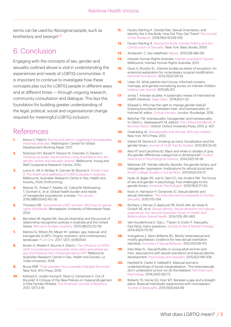terms can be used by Aboriginal people, such as brotherboy and sistergirl.<sup>41</sup>

#### 6. Conclusion

Engaging with the concepts of sex, gender and sexuality outlined above is vital in understanding the experiences and needs of LGBTIQ communities. It is important to continue to investigate how these concepts play out for LGBTIQ people in different ways and at different times — through ongoing research, community consultation and dialogue. This lays the foundation for building greater understanding of the legal, political, social and organisational change required for meaningful LGBTIQ inclusion.

#### References

- **1.** [Kenny C, Patel D. Norms and reform: Legalizing homosexuality](https://www.cgdev.org/publication/norms-and-reform-legalizing-homosexuality-improves-attitudes)  improves attitudes. Washington: Center for Global Development Working Paper, 2017.
- **2.** Robinson KH, Bansel P, Denson N, Ovenden G, Davies C. Growing up queer: Issues facing young Australians who are [gender variant and sexuality diverse. Melbourne: Young and](https://researchdirect.westernsydney.edu.au/islandora/object/uws:24414/)  Well Cooperative Research Centre; 2014.
- **3.** [Lyons A, Hill A, McNair R, Carman M, Bourne A. Private Lives](https://opal.latrobe.edu.au/ndownloader/files/29080047)  3: The health and wellbeing of LGBTIQ people in Australia. Melbourne: Australian Research Centre in Sex, Health and Society; 2020, forthcoming.
- **4.** [Reisner SL, Poteat T, Keatley JA, Cabral M, Mothopeng](https://doi.org/10.1016/S0140-6736(16)00684-X)  T, Dunham E, et al. Global health burden and needs of transgender populations: a review. The Lancet. 2016;388(10042):412-36.
- **5.** Thoreson RR. Transnational LGBT activism: Working for sexual rights Worldwide. Minneapolis: University of Minnesota Press; 2014.
- **6.** Bernstein M, Naples NA. Sexual citizenship and the pursuit of relationship-recognition policies in Australia and the United States. Women's Studies Quarterly. 2010;38(1/2):132-56.
- **7.** [Martos AJ, Wilson PA, Meyer IH. Lesbian, gay, bisexual, and](https://doi.org/10.1371/journal.pone.0180544)  transgender (LGBT): Origins, evolution, and contemporary landscape. PLoS One. 2017; 12(7): e0180544.
- **8.** [Brown G, Westle A, Bourne A, Ellard J. The influence of AFAO,](https://www.latrobe.edu.au/__data/assets/pdf_file/0004/1049215/The-influence-of-AFAO,-AIDS-Councils-and-Communities-Summary-Report.pdf)  AIDS Councils and communities: How, when and where are gay and bisexual men influenced about HIV? Melbourne: Australian Research Centre in Sex, Health and Society, La Trobe University; 2018.
- **9.** [Bruce KMF. Pride parades: How a parade changed the world.](https://www.jstor.org/stable/j.ctt1bj4sds) New York: NYU Press; 2016.
- **10.** Karkazis K, Jordan-Young R, Davis G, Camporesi S. Out of [Bounds? A Critique of the New Policies on Hyperandrogenism](https://doi.org/10.1080%2F15265161.2012.680533)  in Elite Female Athletes. The American Journal of Bioethics. 2012; 12(7):3-16.
- **11.** Fausto-Sterling A. Gender/Sex, Sexual Orientation, and [Identity Are in the Body: How Did They Get There? The Journal](https://doi.org/10.1080/00224499.2019.1581883)  of Sex Research. 2019;56(4-5):529-555.
- **12.** [Fausto-Sterling A. Sexing the Body: Gender Politics and the](https://www.hachette.com.au/anne-fausto-sterling/sexing-the-body-gender-politics-and-the-construction-of-sexuality)  Construction of Sexuality. New York: Basic Books; 2000.
- **13.** [Ainsworth, C. Sex redefined. Nature. 2015;518:288-291.](https://doi.org/10.1038/518288a)
- **14.** [Intersex Human Rights Australia. Intersex population figures.](https://ihra.org.au/16601/intersex-numbers/) Melbourne: Intersex Human Rights Australia; 2013.
- **15.** [Davis G, Murphy EL. Intersex bodies as states of exception: An](http://doi.org/10.1353/ff.2013.0022)  empirical explanation for unnecessary surgical modification. Feminist Formations. 2013;25(2):129-52.
- **16.** Uslan SS. What parents don't know: Informed consent, [marriage, and genital-normalizing survey on intersex children.](https://www.repository.law.indiana.edu/ilj/vol85/iss1/8/)  Indiana Law Journal. 2010;85:301.
- **17.** Jones T. Intersex studies: A systematic review of international health literature. Sage Open. 2018;8(2):1-22.
- **18.** Klöppel U. Who has the right to change gender status? Drawing boundaries between inter- and transsexuality. In: [Holmes M, editor. Critical Intersex. London: Routledge; 2016.](https://www.taylorfrancis.com/chapters/edit/10.4324/9781315575018-8/right-change-gender-status-drawing-boundaries-inter-transsexuality-ulrike-kl%C3%B6ppel)
- **19.** Bettcher TM. Intersexuality, transgender, and transsexuality. [In: Disch L, Hawkesworth M, editors. The Oxford handbook of](https://doi.org/10.1093/oxfordhb/9780199328581.013.21)  feminist theory. Oxford: Oxford University Press; 2015. p. 407.
- **20.** [Greenberg JA. Intersexuality and the law: Why sex matters.](https://nyupress.org/9780814731895/intersexuality-and-the-law/)  New York: NYU Press; 2012.
- **21.** Dietert M, Dentice D. Growing up trans: Socialization and the [gender binary. Journal of GLBT Family Studies. 2013;9\(1\):24-42.](https://doi.org/10.1080/1550428X.2013.746053)
- **22.** [Reis HT and Carothers BJ. Black and white or shades of gray:](https://doi.org/10.1177%2F0963721413504105)  Are gender differences categorical or dimensional? Current Directions in Psychological Science. 2014;23(1) 19–26.
- **23.** [Markman ER. Gender identity disorder, the gender binary, and](https://doi.org/10.1080/00377317.2011.616839)  transgender oppression: Implications for ethical social work. Smith College Studies in Social Work. 2011;81(4):314-27.
- **24.** [Hyde JS, Bigler RS, Joel D, Tate CC, Van Anders SM. The future](https://psycnet.apa.org/doi/10.1037/amp0000307)  of sex and gender in psychology: Five challenges to the gender binary. American Psychologist. 2019;74(2):171-93.
- **25.** Kovic A, Hampson P, Gonsiorek JC. Sexual identity and [sexual orientation. The International Encyclopedia of Human](https://doi.org/10.1002/9781118896877.wbiehs455)  Sexuality. 2015:1115-354.
- **26.** Richters J, Altman D, Badcock PB, Smith AM, de Visser R, [Grulich AE, et al. Sexual identity, sexual attraction and sexual](https://doi.org/10.1071/sh14117)  experience: the Second Australian Study of Health and Relationships Sexual Health. 2014;11(5) 451-460.
- **27.** Van Houdenhove E, Gijs L, T'Sjoen G, Enzlin P. Asexuality: [Few facts, many questions. Journal of Sex & Marital Therapy.](https://doi.org/10.1080/0092623X.2012.751073) 2014;40(3):175-92.
- **28.** [Vrangalova Z, Savin-Williams RC. Mostly heterosexual and](https://doi.org/10.1007/s10508-012-9921-y)  mostly gay/lesbian: Evidence for new sexual orientation identities. Archives of Sexual Behavior. 2012;41(1):85-101.
- **29.** Katz-Wise SL. Sexual fluidity in young adult women and [men: associations with sexual orientation and sexual identity](https://doi.org/10.1080/19419899.2013.876445)  development. Psychology and Sexuality. 2015;6(2):189-208.
- **30.** Hayfield N, Clarke V, Halliwell E. Bisexual women's [understandings of social marginalisation: 'The heterosexuals](https://doi.org/10.1177%2F0959353514539651)  don't understand us but nor do the lesbians'. Feminism and Psychology. 2014;24(3):352-72.
- **31.** [Roberts TS, Horne SG, Hoyt WT. Between a gay and a straight](https://doi.org/10.1080/15299716.2015.1111183)  place: Bisexual individuals' experiences with monosexism. Journal of Bisexuality. 2015;15(4):554-69.